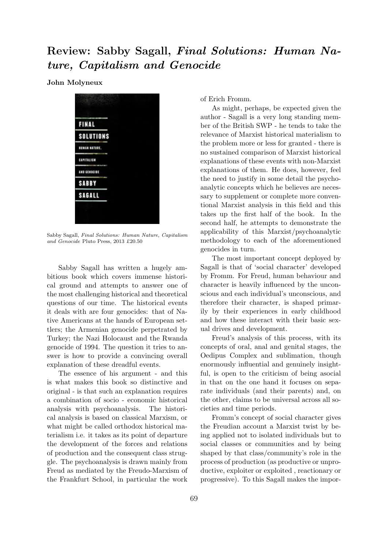## Review: Sabby Sagall, Final Solutions: Human Nature, Capitalism and Genocide

John Molyneux



Sabby Sagall, Final Solutions: Human Nature, Capitalism and Genocide Pluto Press, 2013 £20.50

Sabby Sagall has written a hugely ambitious book which covers immense historical ground and attempts to answer one of the most challenging historical and theoretical questions of our time. The historical events it deals with are four genocides: that of Native Americans at the hands of European settlers; the Armenian genocide perpetrated by Turkey; the Nazi Holocaust and the Rwanda genocide of 1994. The question it tries to answer is how to provide a convincing overall explanation of these dreadful events.

The essence of his argument - and this is what makes this book so distinctive and original - is that such an explanation requires a combination of socio - economic historical analysis with psychoanalysis. The historical analysis is based on classical Marxism, or what might be called orthodox historical materialism i.e. it takes as its point of departure the development of the forces and relations of production and the consequent class struggle. The psychoanalysis is drawn mainly from Freud as mediated by the Freudo-Marxism of the Frankfurt School, in particular the work of Erich Fromm.

As might, perhaps, be expected given the author - Sagall is a very long standing member of the British SWP - he tends to take the relevance of Marxist historical materialism to the problem more or less for granted - there is no sustained comparison of Marxist historical explanations of these events with non-Marxist explanations of them. He does, however, feel the need to justify in some detail the psychoanalytic concepts which he believes are necessary to supplement or complete more conventional Marxist analysis in this field and this takes up the first half of the book. In the second half, he attempts to demonstrate the applicability of this Marxist/psychoanalytic methodology to each of the aforementioned genocides in turn.

The most important concept deployed by Sagall is that of 'social character' developed by Fromm. For Freud, human behaviour and character is heavily influenced by the unconscious and each individual's unconscious, and therefore their character, is shaped primarily by their experiences in early childhood and how these interact with their basic sexual drives and development.

Freud's analysis of this process, with its concepts of oral, anal and genital stages, the Oedipus Complex and sublimation, though enormously influential and genuinely insightful, is open to the criticism of being asocial in that on the one hand it focuses on separate individuals (and their parents) and, on the other, claims to be universal across all societies and time periods.

Fromm's concept of social character gives the Freudian account a Marxist twist by being applied not to isolated individuals but to social classes or communities and by being shaped by that class/community's role in the process of production (as productive or unproductive, exploiter or exploited , reactionary or progressive). To this Sagall makes the impor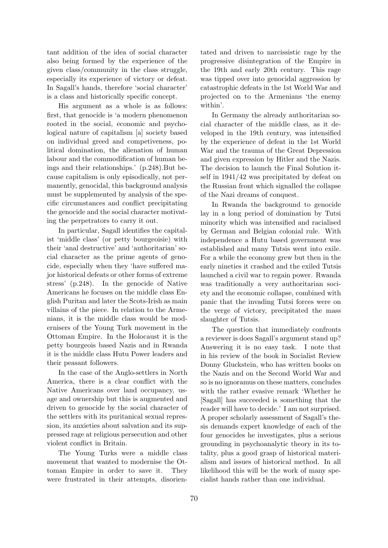tant addition of the idea of social character also being formed by the experience of the given class/community in the class struggle, especially its experience of victory or defeat. In Sagall's hands, therefore 'social character' is a class and historically specific concept.

His argument as a whole is as follows: first, that genocide is 'a modern phenomenon rooted in the social, economic and psychological nature of capitalism [a] society based on individual greed and competiveness, political domination, the alienation of human labour and the commodification of human beings and their relationships.' (p.248).But because capitalism is only episodically, not permanently, genocidal, this background analysis must be supplemented by analysis of the specific circumstances and conflict precipitating the genocide and the social character motivating the perpetrators to carry it out.

In particular, Sagall identifies the capitalist 'middle class' (or petty bourgeoisie) with their 'anal destructive' and 'authoritarian' social character as the prime agents of genocide, especially when they 'have suffered major historical defeats or other forms of extreme stress' (p.248). In the genocide of Native Americans he focuses on the middle class English Puritan and later the Scots-Irish as main villains of the piece. In relation to the Armenians, it is the middle class would be modernisers of the Young Turk movement in the Ottoman Empire. In the Holocaust it is the petty bourgeois based Nazis and in Rwanda it is the middle class Hutu Power leaders and their peasant followers.

In the case of the Anglo-settlers in North America, there is a clear conflict with the Native Americans over land occupancy, usage and ownership but this is augmented and driven to genocide by the social character of the settlers with its puritanical sexual repression, its anxieties about salvation and its suppressed rage at religious persecution and other violent conflict in Britain.

The Young Turks were a middle class movement that wanted to modernise the Ottoman Empire in order to save it. They were frustrated in their attempts, disorientated and driven to narcissistic rage by the progressive disintegration of the Empire in the 19th and early 20th century. This rage was tipped over into genocidal aggression by catastrophic defeats in the 1st World War and projected on to the Armenians 'the enemy within'.

In Germany the already authoritarian social character of the middle class, as it developed in the 19th century, was intensified by the experience of defeat in the 1st World War and the trauma of the Great Depression and given expression by Hitler and the Nazis. The decision to launch the Final Solution itself in 1941/42 was precipitated by defeat on the Russian front which signalled the collapse of the Nazi dreams of conquest.

In Rwanda the background to genocide lay in a long period of domination by Tutsi minority which was intensified and racialised by German and Belgian colonial rule. With independence a Hutu based government was established and many Tutsis went into exile. For a while the economy grew but then in the early nineties it crashed and the exiled Tutsis launched a civil war to regain power. Rwanda was traditionally a very authoritarian society and the economic collapse, combined with panic that the invading Tutsi forces were on the verge of victory, precipitated the mass slaughter of Tutsis.

The question that immediately confronts a reviewer is does Sagall's argument stand up? Answering it is no easy task. I note that in his review of the book in Socialist Review Donny Gluckstein, who has written books on the Nazis and on the Second World War and so is no ignoramus on these matters, concludes with the rather evasive remark 'Whether he [Sagall] has succeeded is something that the reader will have to decide.' I am not surprised. A proper scholarly assessment of Sagall's thesis demands expert knowledge of each of the four genocides he investigates, plus a serious grounding in psychoanalytic theory in its totality, plus a good grasp of historical materialism and issues of historical method. In all likelihood this will be the work of many specialist hands rather than one individual.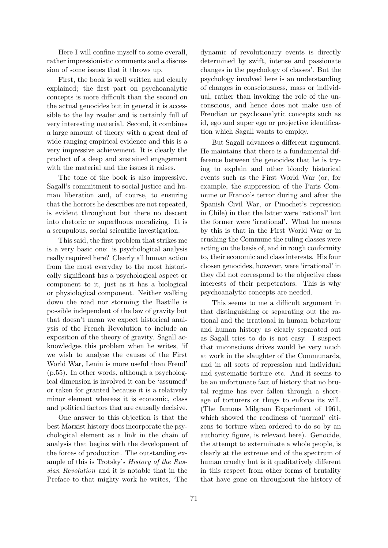Here I will confine myself to some overall, rather impressionistic comments and a discussion of some issues that it throws up.

First, the book is well written and clearly explained; the first part on psychoanalytic concepts is more difficult than the second on the actual genocides but in general it is accessible to the lay reader and is certainly full of very interesting material. Second, it combines a large amount of theory with a great deal of wide ranging empirical evidence and this is a very impressive achievement. It is clearly the product of a deep and sustained engagement with the material and the issues it raises.

The tone of the book is also impressive. Sagall's commitment to social justice and human liberation and, of course, to ensuring that the horrors he describes are not repeated, is evident throughout but there no descent into rhetoric or superfluous moralizing. It is a scrupulous, social scientific investigation.

This said, the first problem that strikes me is a very basic one: is psychological analysis really required here? Clearly all human action from the most everyday to the most historically significant has a psychological aspect or component to it, just as it has a biological or physiological component. Neither walking down the road nor storming the Bastille is possible independent of the law of gravity but that doesn't mean we expect historical analysis of the French Revolution to include an exposition of the theory of gravity. Sagall acknowledges this problem when he writes, 'if we wish to analyse the causes of the First World War, Lenin is more useful than Freud' (p.55). In other words, although a psychological dimension is involved it can be 'assumed' or taken for granted because it is a relatively minor element whereas it is economic, class and political factors that are causally decisive.

One answer to this objection is that the best Marxist history does incorporate the psychological element as a link in the chain of analysis that begins with the development of the forces of production. The outstanding example of this is Trotsky's History of the Russian Revolution and it is notable that in the Preface to that mighty work he writes, 'The dynamic of revolutionary events is directly determined by swift, intense and passionate changes in the psychology of classes'. But the psychology involved here is an understanding of changes in consciousness, mass or individual, rather than invoking the role of the unconscious, and hence does not make use of Freudian or psychoanalytic concepts such as id, ego and super ego or projective identification which Sagall wants to employ.

But Sagall advances a different argument. He maintains that there is a fundamental difference between the genocides that he is trying to explain and other bloody historical events such as the First World War (or, for example, the suppression of the Paris Commune or Franco's terror during and after the Spanish Civil War, or Pinochet's repression in Chile) in that the latter were 'rational' but the former were 'irrational'. What he means by this is that in the First World War or in crushing the Commune the ruling classes were acting on the basis of, and in rough conformity to, their economic and class interests. His four chosen genocides, however, were 'irrational' in they did not correspond to the objective class interests of their perpetrators. This is why psychoanalytic concepts are needed.

This seems to me a difficult argument in that distinguishing or separating out the rational and the irrational in human behaviour and human history as clearly separated out as Sagall tries to do is not easy. I suspect that unconscious drives would be very much at work in the slaughter of the Communards, and in all sorts of repression and individual and systematic torture etc. And it seems to be an unfortunate fact of history that no brutal regime has ever fallen through a shortage of torturers or thugs to enforce its will. (The famous Milgram Experiment of 1961, which showed the readiness of 'normal' citizens to torture when ordered to do so by an authority figure, is relevant here). Genocide, the attempt to exterminate a whole people, is clearly at the extreme end of the spectrum of human cruelty but is it qualitatively different in this respect from other forms of brutality that have gone on throughout the history of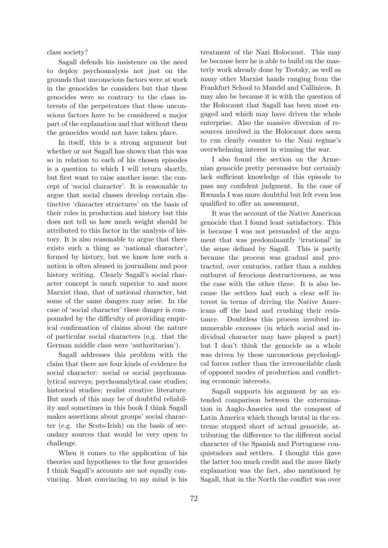class society?

Sagall defends his insistence on the need to deploy psychoanalysis not just on the grounds that unconscious factors were at work in the genocides he considers but that these genocides were so contrary to the class interests of the perpetrators that these unconscious factors have to be considered a major part of the explanation and that without them the genocides would not have taken place.

In itself, this is a strong argument but whether or not Sagall has shown that this was so in relation to each of his chosen episodes is a question to which I will return shortly, but first want to raise another issue: the concept of 'social character'. It is reasonable to argue that social classes develop certain distinctive 'character structures' on the basis of their roles in production and history but this does not tell us how much weight should be attributed to this factor in the analysis of history. It is also reasonable to argue that there exists such a thing as 'national character', formed by history, but we know how such a notion is often abused in journalism and poor history writing. Clearly Sagall's social character concept is much superior to and more Marxist than, that of national character, but some of the same dangers may arise. In the case of 'social character' these danger is compounded by the difficulty of providing empirical confirmation of claims about the nature of particular social characters (e.g. that the German middle class were 'authoritarian').

Sagall addresses this problem with the claim that there are four kinds of evidence for social character: social or social psychoanalytical surveys; psychoanalytical case studies; historical studies; realist creative literature. But much of this may be of doubtful reliability and sometimes in this book I think Sagall makes assertions about groups' social character (e.g. the Scots-Irish) on the basis of secondary sources that would be very open to challenge.

When it comes to the application of his theories and hypotheses to the four genocides I think Sagall's accounts are not equally convincing. Most convincing to my mind is his

treatment of the Nazi Holocaust. This may be because here he is able to build on the masterly work already done by Trotsky, as well as many other Marxist hands ranging from the Frankfurt School to Mandel and Callinicos. It may also be because it is with the question of the Holocaust that Sagall has been most engaged and which may have driven the whole enterprise. Also the massive diversion of resources involved in the Holocaust does seem to run clearly counter to the Nazi regime's overwhelming interest in winning the war.

I also found the section on the Armenian genocide pretty persuasive but certainly lack sufficient knowledge of this episode to pass any confident judgment. In the case of Rwanda I was more doubtful but felt even less qualified to offer an assessment,

It was the account of the Native American genocide that I found least satisfactory. This is because I was not persuaded of the argument that was predominantly 'irrational' in the sense defined by Sagall. This is partly because the process was gradual and protracted, over centuries, rather than a sudden outburst of ferocious destructiveness, as was the case with the other three. It is also because the settlers had such a clear self interest in terms of driving the Native Americans off the land and crushing their resistance. Doubtless this process involved innumerable excesses (in which social and individual character may have played a part) but I don't think the genocide as a whole was driven by these unconscious psychological forces rather than the irreconcilable clash of opposed modes of production and conflicting economic interests.

Sagall supports his argument by an extended comparison between the extermination in Anglo-America and the conquest of Latin America which though brutal in the extreme stopped short of actual genocide, attributing the difference to the different social character of the Spanish and Portuguese conquistadors and settlers. I thought this gave the latter too much credit and the more likely explanation was the fact, also mentioned by Sagall, that in the North the conflict was over